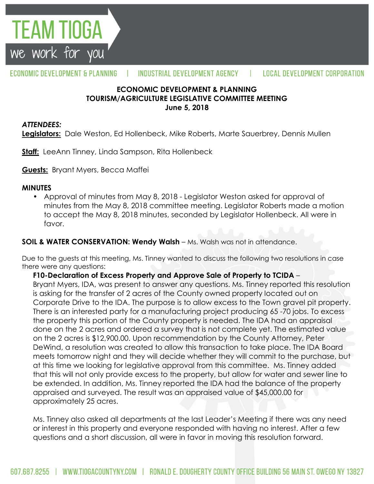

#### ECONOMIC DEVELOPMENT & PLANNING INDUSTRIAL DEVELOPMENT AGENCY L **LOCAL DEVELOPMENT CORPORATION**

## **ECONOMIC DEVELOPMENT & PLANNING TOURISM/AGRICULTURE LEGISLATIVE COMMITTEE MEETING June 5, 2018**

#### *ATTENDEES:*

**Legislators:** Dale Weston, Ed Hollenbeck, Mike Roberts, Marte Sauerbrey, Dennis Mullen

**Staff:** LeeAnn Tinney, Linda Sampson, Rita Hollenbeck

**Guests:** Bryant Myers, Becca Maffei

### **MINUTES**

• Approval of minutes from May 8, 2018 - Legislator Weston asked for approval of minutes from the May 8, 2018 committee meeting. Legislator Roberts made a motion to accept the May 8, 2018 minutes, seconded by Legislator Hollenbeck. All were in favor.

### **SOIL & WATER CONSERVATION: Wendy Walsh** – Ms. Walsh was not in attendance.

Due to the guests at this meeting, Ms. Tinney wanted to discuss the following two resolutions in case there were any questions:

**F10-Declaration of Excess Property and Approve Sale of Property to TCIDA** –

Bryant Myers, IDA, was present to answer any questions. Ms. Tinney reported this resolution is asking for the transfer of 2 acres of the County owned property located out on Corporate Drive to the IDA. The purpose is to allow excess to the Town gravel pit property. There is an interested party for a manufacturing project producing 65 -70 jobs. To excess the property this portion of the County property is needed. The IDA had an appraisal done on the 2 acres and ordered a survey that is not complete yet. The estimated value on the 2 acres is \$12,900.00. Upon recommendation by the County Attorney, Peter DeWind, a resolution was created to allow this transaction to take place. The IDA Board meets tomorrow night and they will decide whether they will commit to the purchase, but at this time we looking for legislative approval from this committee. Ms. Tinney added that this will not only provide excess to the property, but allow for water and sewer line to be extended. In addition, Ms. Tinney reported the IDA had the balance of the property appraised and surveyed. The result was an appraised value of \$45,000.00 for approximately 25 acres.

Ms. Tinney also asked all departments at the last Leader's Meeting if there was any need or interest in this property and everyone responded with having no interest. After a few questions and a short discussion, all were in favor in moving this resolution forward.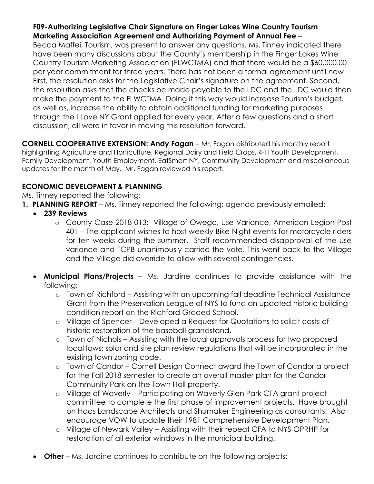## **F09-Authorizing Legislative Chair Signature on Finger Lakes Wine Country Tourism Marketing Association Agreement and Authorizing Payment of Annual Fee** –

Becca Maffei, Tourism, was present to answer any questions. Ms. Tinney indicated there have been many discussions about the County's membership in the Finger Lakes Wine Country Tourism Marketing Association (FLWCTMA) and that there would be a \$60,000.00 per year commitment for three years. There has not been a formal agreement until now. First, the resolution asks for the Legislative Chair's signature on the agreement. Second, the resolution asks that the checks be made payable to the LDC and the LDC would then make the payment to the FLWCTMA. Doing it this way would increase Tourism's budget, as well as, increase the ability to obtain additional funding for marketing purposes through the I Love NY Grant applied for every year. After a few questions and a short discussion, all were in favor in moving this resolution forward.

**CORNELL COOPERATIVE EXTENSION: Andy Fagan** – Mr. Fagan distributed his monthly report highlighting Agriculture and Horticulture, Regional Dairy and Field Crops, 4-H Youth Development, Family Development, Youth Employment, EatSmart NY, Community Development and miscellaneous updates for the month of May. Mr. Fagan reviewed his report.

# **ECONOMIC DEVELOPMENT & PLANNING**

Ms. Tinney reported the following:

- **1. PLANNING REPORT** Ms. Tinney reported the following; agenda previously emailed:
	- **239 Reviews**
		- o County Case 2018-013: Village of Owego, Use Variance, American Legion Post 401 – The applicant wishes to host weekly Bike Night events for motorcycle riders for ten weeks during the summer. Staff recommended disapproval of the use variance and TCPB unanimously carried the vote. This went back to the Village and the Village did override to allow with several contingencies.
	- **Municipal Plans/Projects**  Ms. Jardine continues to provide assistance with the following:
		- o Town of Richford Assisting with an upcoming fall deadline Technical Assistance Grant from the Preservation League of NYS to fund an updated historic building condition report on the Richford Graded School.
		- o Village of Spencer Developed a Request for Quotations to solicit costs of historic restoration of the baseball grandstand.
		- o Town of Nichols Assisting with the local approvals process for two proposed local laws; solar and site plan review regulations that will be incorporated in the existing town zoning code.
		- o Town of Candor Cornell Design Connect award the Town of Candor a project for the Fall 2018 semester to create an overall master plan for the Candor Community Park on the Town Hall property.
		- o Village of Waverly Participating on Waverly Glen Park CFA grant project committee to complete the first phase of improvement projects. Have brought on Haas Landscape Architects and Shumaker Engineering as consultants. Also encourage VOW to update their 1981 Comprehensive Development Plan.
		- o Village of Newark Valley Assisting with their repeat CFA to NYS OPRHP for restoration of all exterior windows in the municipal building.
	- **Other** Ms. Jardine continues to contribute on the following projects: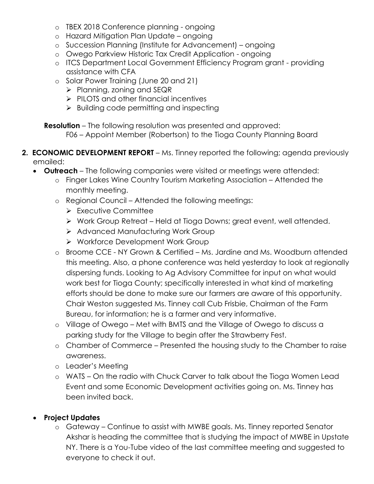- o TBEX 2018 Conference planning ongoing
- o Hazard Mitigation Plan Update ongoing
- o Succession Planning (Institute for Advancement) ongoing
- o Owego Parkview Historic Tax Credit Application ongoing
- o ITCS Department Local Government Efficiency Program grant providing assistance with CFA
- o Solar Power Training (June 20 and 21)
	- $\triangleright$  Planning, zoning and SEQR
	- $\triangleright$  PILOTS and other financial incentives
	- $\triangleright$  Building code permitting and inspecting

**Resolution** – The following resolution was presented and approved:

F06 – Appoint Member (Robertson) to the Tioga County Planning Board

- **2. ECONOMIC DEVELOPMENT REPORT** Ms. Tinney reported the following; agenda previously emailed:
	- **Outreach**  The following companies were visited or meetings were attended:
		- o Finger Lakes Wine Country Tourism Marketing Association Attended the monthly meeting.
		- o Regional Council Attended the following meetings:
			- $\triangleright$  Executive Committee
			- Work Group Retreat Held at Tioga Downs; great event, well attended.
			- ▶ Advanced Manufacturing Work Group
			- ▶ Workforce Development Work Group
		- o Broome CCE NY Grown & Certified Ms. Jardine and Ms. Woodburn attended this meeting. Also, a phone conference was held yesterday to look at regionally dispersing funds. Looking to Ag Advisory Committee for input on what would work best for Tioga County; specifically interested in what kind of marketing efforts should be done to make sure our farmers are aware of this opportunity. Chair Weston suggested Ms. Tinney call Cub Frisbie, Chairman of the Farm Bureau, for information; he is a farmer and very informative.
		- o Village of Owego Met with BMTS and the Village of Owego to discuss a parking study for the Village to begin after the Strawberry Fest.
		- o Chamber of Commerce Presented the housing study to the Chamber to raise awareness.
		- o Leader's Meeting
		- o WATS On the radio with Chuck Carver to talk about the Tioga Women Lead Event and some Economic Development activities going on. Ms. Tinney has been invited back.

# **Project Updates**

o Gateway – Continue to assist with MWBE goals. Ms. Tinney reported Senator Akshar is heading the committee that is studying the impact of MWBE in Upstate NY. There is a You-Tube video of the last committee meeting and suggested to everyone to check it out.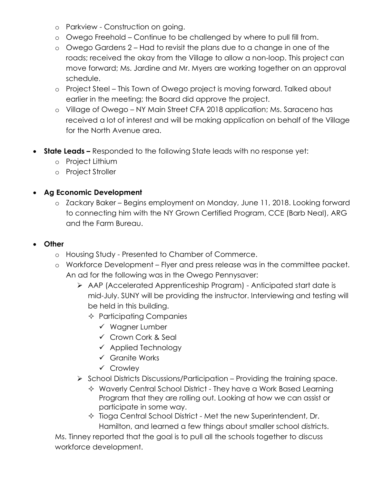- o Parkview Construction on going.
- o Owego Freehold Continue to be challenged by where to pull fill from.
- o Owego Gardens 2 Had to revisit the plans due to a change in one of the roads; received the okay from the Village to allow a non-loop. This project can move forward; Ms. Jardine and Mr. Myers are working together on an approval schedule.
- o Project Steel This Town of Owego project is moving forward. Talked about earlier in the meeting; the Board did approve the project.
- o Village of Owego NY Main Street CFA 2018 application; Ms. Saraceno has received a lot of interest and will be making application on behalf of the Village for the North Avenue area.
- **State Leads –** Responded to the following State leads with no response yet:
	- o Project Lithium
	- o Project Stroller

## **Ag Economic Development**

o Zackary Baker – Begins employment on Monday, June 11, 2018. Looking forward to connecting him with the NY Grown Certified Program, CCE (Barb Neal), ARG and the Farm Bureau.

## **Other**

- o Housing Study Presented to Chamber of Commerce.
- o Workforce Development Flyer and press release was in the committee packet. An ad for the following was in the Owego Pennysaver:
	- AAP (Accelerated Apprenticeship Program) Anticipated start date is mid-July. SUNY will be providing the instructor. Interviewing and testing will be held in this building.
		- $\Diamond$  Participating Companies
			- $\checkmark$  Wagner Lumber
			- $\checkmark$  Crown Cork & Seal
			- $\checkmark$  Applied Technology
			- Granite Works
			- Crowley
	- $\triangleright$  School Districts Discussions/Participation Providing the training space.
		- Waverly Central School District They have a Work Based Learning Program that they are rolling out. Looking at how we can assist or participate in some way.
		- $\Diamond$  Tioga Central School District Met the new Superintendent, Dr. Hamilton, and learned a few things about smaller school districts.

Ms. Tinney reported that the goal is to pull all the schools together to discuss workforce development.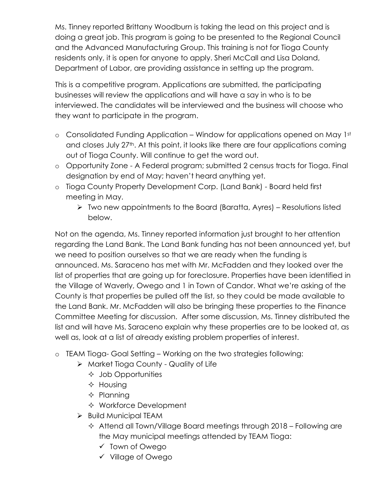Ms. Tinney reported Brittany Woodburn is taking the lead on this project and is doing a great job. This program is going to be presented to the Regional Council and the Advanced Manufacturing Group. This training is not for Tioga County residents only, it is open for anyone to apply. Sheri McCall and Lisa Doland, Department of Labor, are providing assistance in setting up the program.

This is a competitive program. Applications are submitted, the participating businesses will review the applications and will have a say in who is to be interviewed. The candidates will be interviewed and the business will choose who they want to participate in the program.

- o Consolidated Funding Application Window for applications opened on May 1st and closes July 27<sup>th</sup>. At this point, it looks like there are four applications coming out of Tioga County. Will continue to get the word out.
- o Opportunity Zone A Federal program; submitted 2 census tracts for Tioga. Final designation by end of May; haven't heard anything yet.
- o Tioga County Property Development Corp. (Land Bank) Board held first meeting in May.
	- $\triangleright$  Two new appointments to the Board (Baratta, Ayres) Resolutions listed below.

Not on the agenda, Ms. Tinney reported information just brought to her attention regarding the Land Bank. The Land Bank funding has not been announced yet, but we need to position ourselves so that we are ready when the funding is announced. Ms. Saraceno has met with Mr. McFadden and they looked over the list of properties that are going up for foreclosure. Properties have been identified in the Village of Waverly, Owego and 1 in Town of Candor. What we're asking of the County is that properties be pulled off the list, so they could be made available to the Land Bank. Mr. McFadden will also be bringing these properties to the Finance Committee Meeting for discussion. After some discussion, Ms. Tinney distributed the list and will have Ms. Saraceno explain why these properties are to be looked at, as well as, look at a list of already existing problem properties of interest.

- o TEAM Tioga- Goal Setting Working on the two strategies following:
	- Market Tioga County Quality of Life
		- $\Diamond$  Job Opportunities
		- $\Diamond$  Housing
		- $\Diamond$  Planning
		- Workforce Development
	- $\triangleright$  Build Municipal TEAM
		- $\Diamond$  Attend all Town/Village Board meetings through 2018 Following are the May municipal meetings attended by TEAM Tioga:
			- Town of Owego
			- Village of Owego